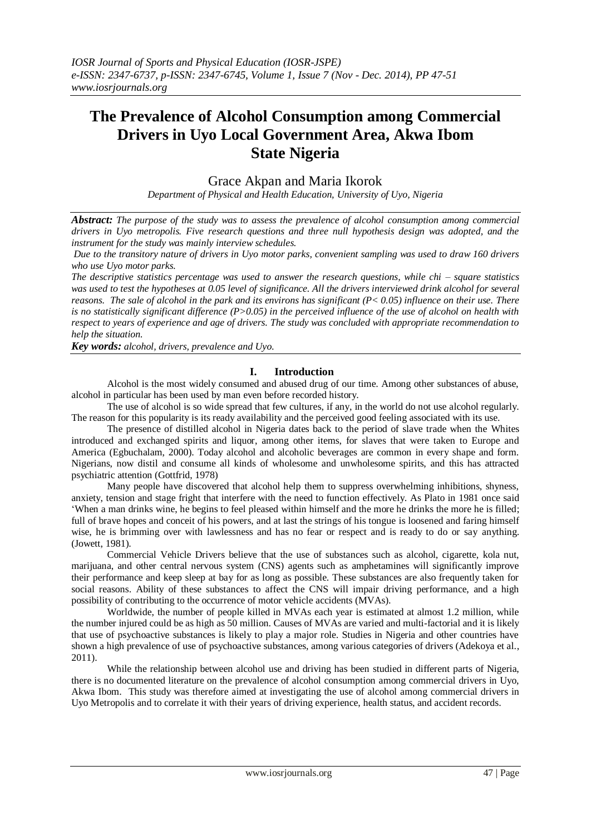# **The Prevalence of Alcohol Consumption among Commercial Drivers in Uyo Local Government Area, Akwa Ibom State Nigeria**

## Grace Akpan and Maria Ikorok

*Department of Physical and Health Education, University of Uyo, Nigeria*

*Abstract: The purpose of the study was to assess the prevalence of alcohol consumption among commercial drivers in Uyo metropolis. Five research questions and three null hypothesis design was adopted, and the instrument for the study was mainly interview schedules.*

*Due to the transitory nature of drivers in Uyo motor parks, convenient sampling was used to draw 160 drivers who use Uyo motor parks.*

*The descriptive statistics percentage was used to answer the research questions, while chi – square statistics was used to test the hypotheses at 0.05 level of significance. All the drivers interviewed drink alcohol for several reasons. The sale of alcohol in the park and its environs has significant (P< 0.05) influence on their use. There is no statistically significant difference (P>0.05) in the perceived influence of the use of alcohol on health with respect to years of experience and age of drivers. The study was concluded with appropriate recommendation to help the situation.*

*Key words: alcohol, drivers, prevalence and Uyo*.

### **I. Introduction**

Alcohol is the most widely consumed and abused drug of our time. Among other substances of abuse, alcohol in particular has been used by man even before recorded history.

The use of alcohol is so wide spread that few cultures, if any, in the world do not use alcohol regularly. The reason for this popularity is its ready availability and the perceived good feeling associated with its use.

The presence of distilled alcohol in Nigeria dates back to the period of slave trade when the Whites introduced and exchanged spirits and liquor, among other items, for slaves that were taken to Europe and America (Egbuchalam, 2000). Today alcohol and alcoholic beverages are common in every shape and form. Nigerians, now distil and consume all kinds of wholesome and unwholesome spirits, and this has attracted psychiatric attention (Gottfrid, 1978)

Many people have discovered that alcohol help them to suppress overwhelming inhibitions, shyness, anxiety, tension and stage fright that interfere with the need to function effectively. As Plato in 1981 once said 'When a man drinks wine, he begins to feel pleased within himself and the more he drinks the more he is filled; full of brave hopes and conceit of his powers, and at last the strings of his tongue is loosened and faring himself wise, he is brimming over with lawlessness and has no fear or respect and is ready to do or say anything. (Jowett, 1981).

Commercial Vehicle Drivers believe that the use of substances such as alcohol, cigarette, kola nut, marijuana, and other central nervous system (CNS) agents such as amphetamines will significantly improve their performance and keep sleep at bay for as long as possible. These substances are also frequently taken for social reasons. Ability of these substances to affect the CNS will impair driving performance, and a high possibility of contributing to the occurrence of motor vehicle accidents (MVAs).

Worldwide, the number of people killed in MVAs each year is estimated at almost 1.2 million, while the number injured could be as high as 50 million. Causes of MVAs are varied and multi-factorial and it is likely that use of psychoactive substances is likely to play a major role. Studies in Nigeria and other countries have shown a high prevalence of use of psychoactive substances, among various categories of drivers (Adekoya et al., 2011).

While the relationship between alcohol use and driving has been studied in different parts of Nigeria, there is no documented literature on the prevalence of alcohol consumption among commercial drivers in Uyo, Akwa Ibom. This study was therefore aimed at investigating the use of alcohol among commercial drivers in Uyo Metropolis and to correlate it with their years of driving experience, health status, and accident records.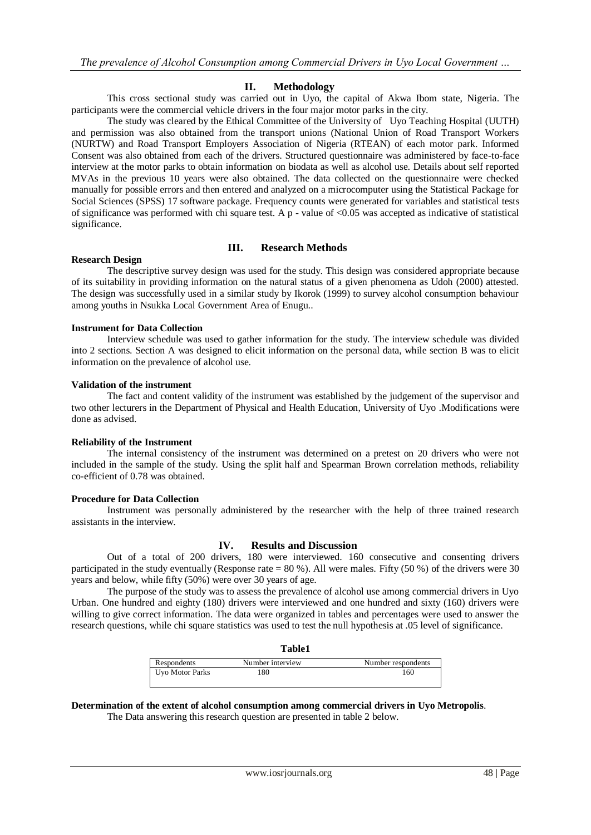#### **II. Methodology**

This cross sectional study was carried out in Uyo, the capital of Akwa Ibom state, Nigeria. The participants were the commercial vehicle drivers in the four major motor parks in the city.

The study was cleared by the Ethical Committee of the University of Uyo Teaching Hospital (UUTH) and permission was also obtained from the transport unions (National Union of Road Transport Workers (NURTW) and Road Transport Employers Association of Nigeria (RTEAN) of each motor park. Informed Consent was also obtained from each of the drivers. Structured questionnaire was administered by face-to-face interview at the motor parks to obtain information on biodata as well as alcohol use. Details about self reported MVAs in the previous 10 years were also obtained. The data collected on the questionnaire were checked manually for possible errors and then entered and analyzed on a microcomputer using the Statistical Package for Social Sciences (SPSS) 17 software package. Frequency counts were generated for variables and statistical tests of significance was performed with chi square test. A  $p$  - value of <0.05 was accepted as indicative of statistical significance.

#### **III. Research Methods**

#### **Research Design**

The descriptive survey design was used for the study. This design was considered appropriate because of its suitability in providing information on the natural status of a given phenomena as Udoh (2000) attested. The design was successfully used in a similar study by Ikorok (1999) to survey alcohol consumption behaviour among youths in Nsukka Local Government Area of Enugu..

#### **Instrument for Data Collection**

Interview schedule was used to gather information for the study. The interview schedule was divided into 2 sections. Section A was designed to elicit information on the personal data, while section B was to elicit information on the prevalence of alcohol use.

#### **Validation of the instrument**

The fact and content validity of the instrument was established by the judgement of the supervisor and two other lecturers in the Department of Physical and Health Education, University of Uyo .Modifications were done as advised.

#### **Reliability of the Instrument**

The internal consistency of the instrument was determined on a pretest on 20 drivers who were not included in the sample of the study. Using the split half and Spearman Brown correlation methods, reliability co-efficient of 0.78 was obtained.

#### **Procedure for Data Collection**

Instrument was personally administered by the researcher with the help of three trained research assistants in the interview.

#### **IV. Results and Discussion**

Out of a total of 200 drivers, 180 were interviewed. 160 consecutive and consenting drivers participated in the study eventually (Response rate = 80 %). All were males. Fifty (50 %) of the drivers were 30 years and below, while fifty (50%) were over 30 years of age.

The purpose of the study was to assess the prevalence of alcohol use among commercial drivers in Uyo Urban. One hundred and eighty (180) drivers were interviewed and one hundred and sixty (160) drivers were willing to give correct information. The data were organized in tables and percentages were used to answer the research questions, while chi square statistics was used to test the null hypothesis at .05 level of significance.

|                 | <b>Table1</b>    |                    |
|-----------------|------------------|--------------------|
| Respondents     | Number interview | Number respondents |
| Uvo Motor Parks | 180              | 160                |

#### **Determination of the extent of alcohol consumption among commercial drivers in Uyo Metropolis**.

The Data answering this research question are presented in table 2 below.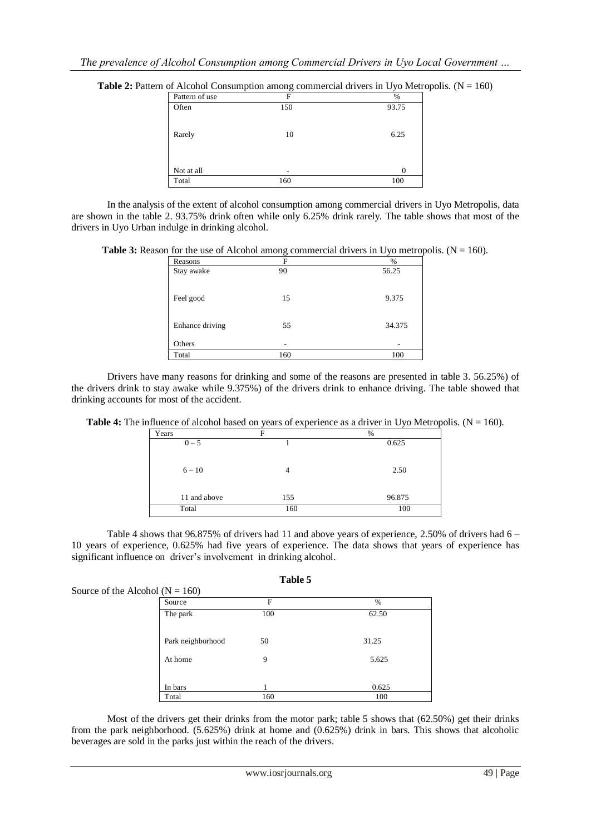| <b>Table 2:</b> Pattern of Alcohol Consumption among commercial drivers in Uyo Metropolis. $(N = 160)$ |  |  |  |
|--------------------------------------------------------------------------------------------------------|--|--|--|
|--------------------------------------------------------------------------------------------------------|--|--|--|

| Pattern of use | F   | $\%$  |
|----------------|-----|-------|
| Often          | 150 | 93.75 |
| Rarely         | 10  | 6.25  |
| Not at all     | -   | 0     |
| Total          | 160 | 100   |

In the analysis of the extent of alcohol consumption among commercial drivers in Uyo Metropolis, data are shown in the table 2. 93.75% drink often while only 6.25% drink rarely. The table shows that most of the drivers in Uyo Urban indulge in drinking alcohol.

**Table 3:** Reason for the use of Alcohol among commercial drivers in Uyo metropolis.  $(N = 160)$ .

| Reasons         | F   | $\%$   |
|-----------------|-----|--------|
| Stay awake      | 90  | 56.25  |
|                 |     |        |
| Feel good       | 15  | 9.375  |
|                 |     |        |
|                 |     |        |
| Enhance driving | 55  | 34.375 |
|                 |     |        |
| Others          | ۰   | -      |
| Total           | 160 | 100    |

Drivers have many reasons for drinking and some of the reasons are presented in table 3. 56.25%) of the drivers drink to stay awake while 9.375%) of the drivers drink to enhance driving. The table showed that drinking accounts for most of the accident.

| <b>Table 4:</b> The influence of alcohol based on years of experience as a driver in Uyo Metropolis. ( $N = 160$ ). |  |  |  |
|---------------------------------------------------------------------------------------------------------------------|--|--|--|
|---------------------------------------------------------------------------------------------------------------------|--|--|--|

| Years        | F   | %      |
|--------------|-----|--------|
| $0 - 5$      |     | 0.625  |
| $6 - 10$     | 4   | 2.50   |
| 11 and above | 155 | 96.875 |
| Total        | 160 | 100    |

Table 4 shows that 96.875% of drivers had 11 and above years of experience, 2.50% of drivers had 6 – 10 years of experience, 0.625% had five years of experience. The data shows that years of experience has significant influence on driver's involvement in drinking alcohol.

**Table 5**

| Source of the Alcohol ( $N = 160$ ) |     |       |
|-------------------------------------|-----|-------|
| Source                              | F   | $\%$  |
| The park                            | 100 | 62.50 |
| Park neighborhood                   | 50  | 31.25 |
| At home                             | 9   | 5.625 |
| In bars                             |     | 0.625 |
| Total                               | 160 | 100   |

Most of the drivers get their drinks from the motor park; table 5 shows that (62.50%) get their drinks from the park neighborhood. (5.625%) drink at home and (0.625%) drink in bars. This shows that alcoholic beverages are sold in the parks just within the reach of the drivers.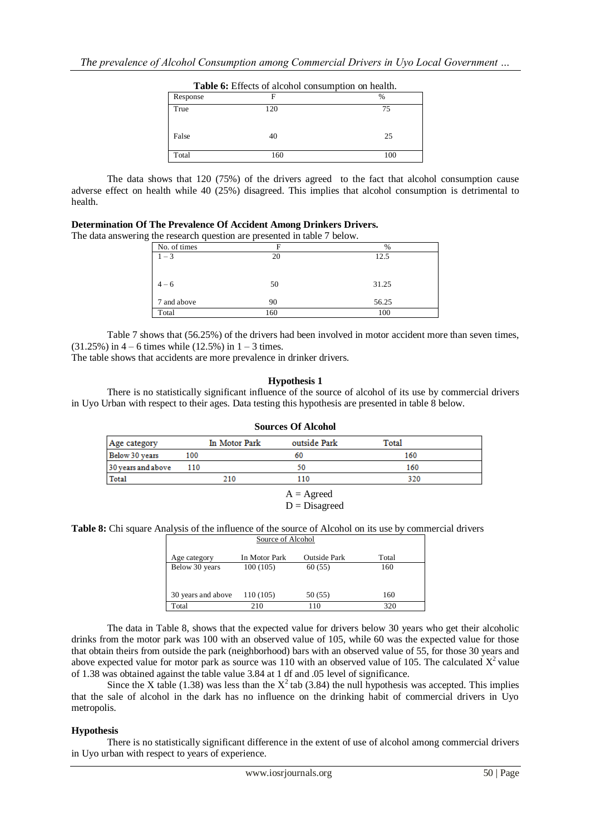|          | <b>Table 6:</b> Effects of alcohol consumption on health. |               |
|----------|-----------------------------------------------------------|---------------|
| Response | F                                                         | $\frac{0}{0}$ |
| True     | 120                                                       | 75            |
| False    | 40                                                        | 25            |
| Total    | 160                                                       | 100           |

The data shows that 120 (75%) of the drivers agreed to the fact that alcohol consumption cause adverse effect on health while 40 (25%) disagreed. This implies that alcohol consumption is detrimental to health.

#### **Determination Of The Prevalence Of Accident Among Drinkers Drivers.**  The data answering the research question are presented in the data answering the research question are presented.

|              | g the research question are presented in table / below. |               |
|--------------|---------------------------------------------------------|---------------|
| No. of times | F                                                       | $\frac{0}{0}$ |
| $1 - 3$      | 20                                                      | 12.5          |
|              |                                                         |               |
|              |                                                         |               |
| $4 - 6$      | 50                                                      | 31.25         |
|              |                                                         |               |
| 7 and above  | 90                                                      | 56.25         |
| Total        | 160                                                     | 100           |

Table 7 shows that (56.25%) of the drivers had been involved in motor accident more than seven times,  $(31.25\%)$  in  $4 - 6$  times while  $(12.5\%)$  in  $1 - 3$  times.

The table shows that accidents are more prevalence in drinker drivers.

#### **Hypothesis 1**

There is no statistically significant influence of the source of alcohol of its use by commercial drivers in Uyo Urban with respect to their ages. Data testing this hypothesis are presented in table 8 below.

|                    | <b>Sources Of Alcohol</b> |               |                                   |       |
|--------------------|---------------------------|---------------|-----------------------------------|-------|
| Age category       |                           | In Motor Park | outside Park                      | Total |
| Below 30 years     | 100                       |               | 60                                | 160   |
| 30 years and above | 110                       |               | 50                                | 160   |
| Total              |                           | 210           | 110                               | 320   |
|                    |                           |               | $\Lambda = \Lambda$ and $\Lambda$ |       |

#### $A =$  Agreed

 $D = Disagreed$ 

#### **Table 8:** Chi square Analysis of the influence of the source of Alcohol on its use by commercial drivers

| Source of Alcohol  |               |              |       |
|--------------------|---------------|--------------|-------|
| Age category       | In Motor Park | Outside Park | Total |
| Below 30 years     | 100(105)      | 60 (55)      | 160   |
|                    |               |              |       |
| 30 years and above | 110 (105)     | 50 (55)      | 160   |
| Total              | 210           | 110          | 320   |

The data in Table 8, shows that the expected value for drivers below 30 years who get their alcoholic drinks from the motor park was 100 with an observed value of 105, while 60 was the expected value for those that obtain theirs from outside the park (neighborhood) bars with an observed value of 55, for those 30 years and above expected value for motor park as source was 110 with an observed value of 105. The calculated  $X^2$  value of 1.38 was obtained against the table value 3.84 at 1 df and .05 level of significance.

Since the X table (1.38) was less than the  $X^2$  tab (3.84) the null hypothesis was accepted. This implies that the sale of alcohol in the dark has no influence on the drinking habit of commercial drivers in Uyo metropolis.

### **Hypothesis**

There is no statistically significant difference in the extent of use of alcohol among commercial drivers in Uyo urban with respect to years of experience.